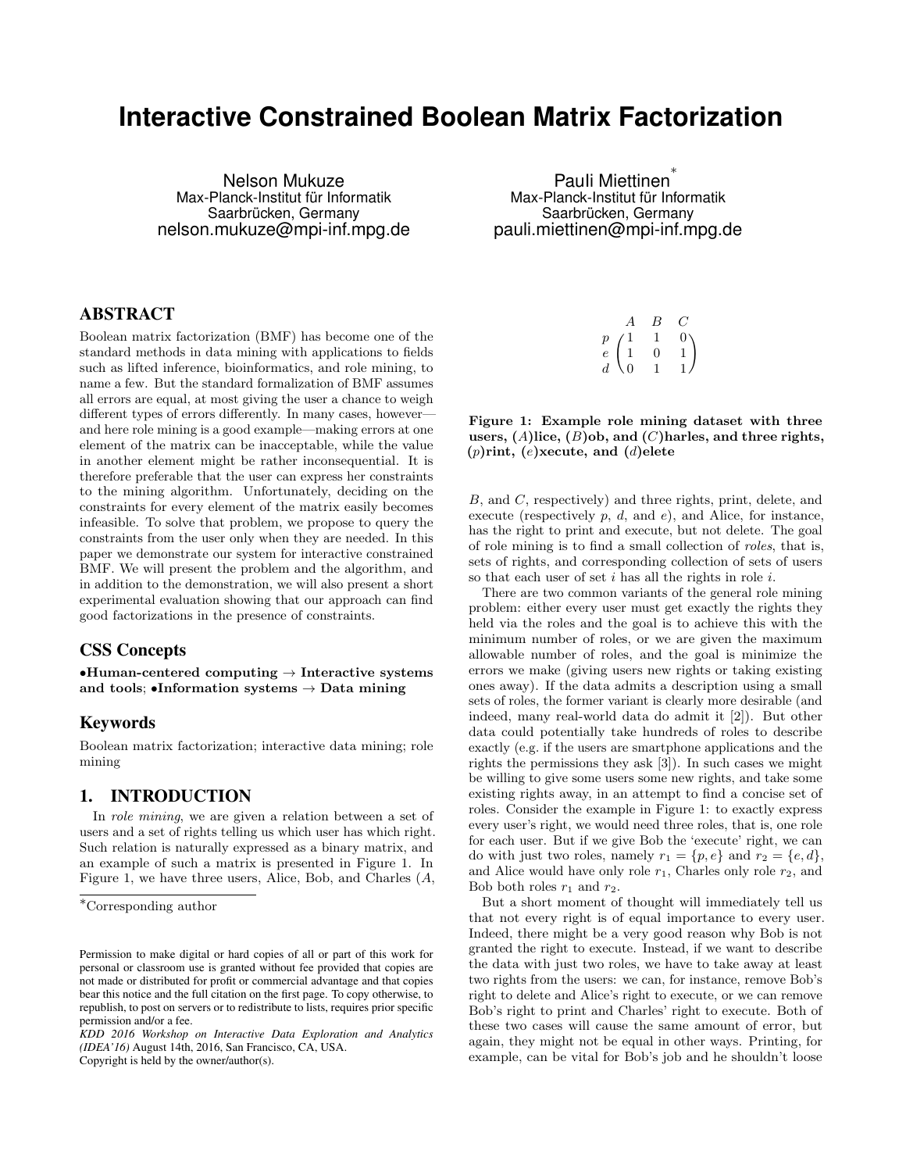# **Interactive Constrained Boolean Matrix Factorization**

Nelson Mukuze Max-Planck-Institut für Informatik Saarbrücken, Germany nelson.mukuze@mpi-inf.mpg.de

# ABSTRACT

Boolean matrix factorization (BMF) has become one of the standard methods in data mining with applications to fields such as lifted inference, bioinformatics, and role mining, to name a few. But the standard formalization of BMF assumes all errors are equal, at most giving the user a chance to weigh different types of errors differently. In many cases, however and here role mining is a good example—making errors at one element of the matrix can be inacceptable, while the value in another element might be rather inconsequential. It is therefore preferable that the user can express her constraints to the mining algorithm. Unfortunately, deciding on the constraints for every element of the matrix easily becomes infeasible. To solve that problem, we propose to query the constraints from the user only when they are needed. In this paper we demonstrate our system for interactive constrained BMF. We will present the problem and the algorithm, and in addition to the demonstration, we will also present a short experimental evaluation showing that our approach can find good factorizations in the presence of constraints.

# CSS Concepts

•Human-centered computing  $\rightarrow$  Interactive systems and tools; •Information systems  $\rightarrow$  Data mining

## Keywords

Boolean matrix factorization; interactive data mining; role mining

# 1. INTRODUCTION

In role mining, we are given a relation between a set of users and a set of rights telling us which user has which right. Such relation is naturally expressed as a binary matrix, and an example of such a matrix is presented in Figure 1. In Figure 1, we have three users, Alice, Bob, and Charles (A,

Copyright is held by the owner/author(s).

Pauli Miettinen<sup>\*</sup> Max-Planck-Institut für Informatik Saarbrücken, Germany pauli.miettinen@mpi-inf.mpg.de

|                |          | B |              |
|----------------|----------|---|--------------|
| $\overline{p}$ | Ί.       | 1 | 0.           |
| $\bar{e}$      | 1        | 0 | $\mathbf{1}$ |
| $\overline{d}$ | $\Omega$ |   | $\mathbf{1}$ |

Figure 1: Example role mining dataset with three users,  $(A)$ lice,  $(B)$ ob, and  $(C)$ harles, and three rights,  $(p)$ rint,  $(e)$ xecute, and  $(d)$ elete

B, and C, respectively) and three rights, print, delete, and execute (respectively  $p, d,$  and  $e$ ), and Alice, for instance, has the right to print and execute, but not delete. The goal of role mining is to find a small collection of roles, that is, sets of rights, and corresponding collection of sets of users so that each user of set  $i$  has all the rights in role  $i$ .

There are two common variants of the general role mining problem: either every user must get exactly the rights they held via the roles and the goal is to achieve this with the minimum number of roles, or we are given the maximum allowable number of roles, and the goal is minimize the errors we make (giving users new rights or taking existing ones away). If the data admits a description using a small sets of roles, the former variant is clearly more desirable (and indeed, many real-world data do admit it [2]). But other data could potentially take hundreds of roles to describe exactly (e.g. if the users are smartphone applications and the rights the permissions they ask [3]). In such cases we might be willing to give some users some new rights, and take some existing rights away, in an attempt to find a concise set of roles. Consider the example in Figure 1: to exactly express every user's right, we would need three roles, that is, one role for each user. But if we give Bob the 'execute' right, we can do with just two roles, namely  $r_1 = \{p, e\}$  and  $r_2 = \{e, d\}$ , and Alice would have only role  $r_1$ , Charles only role  $r_2$ , and Bob both roles  $r_1$  and  $r_2$ .

But a short moment of thought will immediately tell us that not every right is of equal importance to every user. Indeed, there might be a very good reason why Bob is not granted the right to execute. Instead, if we want to describe the data with just two roles, we have to take away at least two rights from the users: we can, for instance, remove Bob's right to delete and Alice's right to execute, or we can remove Bob's right to print and Charles' right to execute. Both of these two cases will cause the same amount of error, but again, they might not be equal in other ways. Printing, for example, can be vital for Bob's job and he shouldn't loose

<sup>∗</sup>Corresponding author

Permission to make digital or hard copies of all or part of this work for personal or classroom use is granted without fee provided that copies are not made or distributed for profit or commercial advantage and that copies bear this notice and the full citation on the first page. To copy otherwise, to republish, to post on servers or to redistribute to lists, requires prior specific permission and/or a fee.

*KDD 2016 Workshop on Interactive Data Exploration and Analytics (IDEA'16)* August 14th, 2016, San Francisco, CA, USA.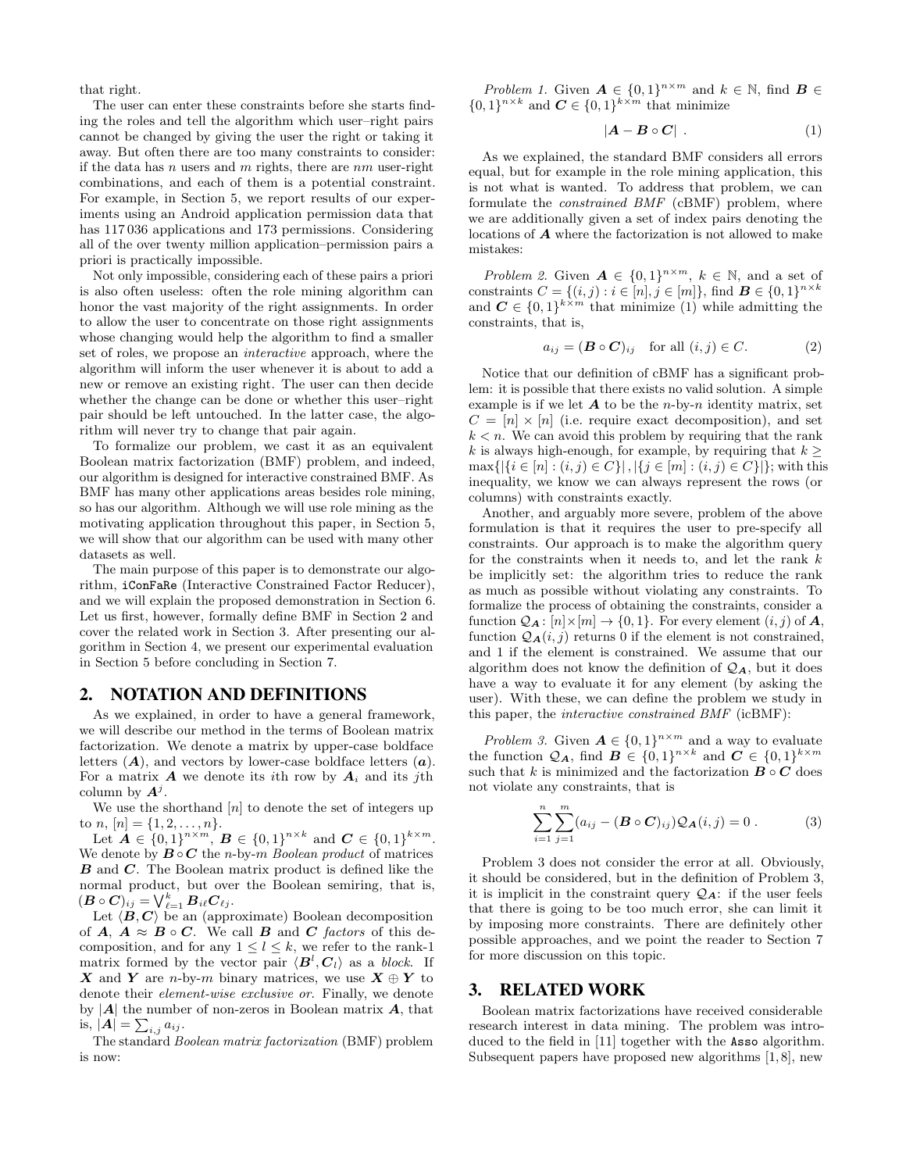that right.

The user can enter these constraints before she starts finding the roles and tell the algorithm which user–right pairs cannot be changed by giving the user the right or taking it away. But often there are too many constraints to consider: if the data has n users and m rights, there are  $nm$  user-right combinations, and each of them is a potential constraint. For example, in Section 5, we report results of our experiments using an Android application permission data that has 117 036 applications and 173 permissions. Considering all of the over twenty million application–permission pairs a priori is practically impossible.

Not only impossible, considering each of these pairs a priori is also often useless: often the role mining algorithm can honor the vast majority of the right assignments. In order to allow the user to concentrate on those right assignments whose changing would help the algorithm to find a smaller set of roles, we propose an interactive approach, where the algorithm will inform the user whenever it is about to add a new or remove an existing right. The user can then decide whether the change can be done or whether this user–right pair should be left untouched. In the latter case, the algorithm will never try to change that pair again.

To formalize our problem, we cast it as an equivalent Boolean matrix factorization (BMF) problem, and indeed, our algorithm is designed for interactive constrained BMF. As BMF has many other applications areas besides role mining, so has our algorithm. Although we will use role mining as the motivating application throughout this paper, in Section 5, we will show that our algorithm can be used with many other datasets as well.

The main purpose of this paper is to demonstrate our algorithm, iConFaRe (Interactive Constrained Factor Reducer), and we will explain the proposed demonstration in Section 6. Let us first, however, formally define BMF in Section 2 and cover the related work in Section 3. After presenting our algorithm in Section 4, we present our experimental evaluation in Section 5 before concluding in Section 7.

## 2. NOTATION AND DEFINITIONS

As we explained, in order to have a general framework, we will describe our method in the terms of Boolean matrix factorization. We denote a matrix by upper-case boldface letters  $(A)$ , and vectors by lower-case boldface letters  $(a)$ . For a matrix  $\boldsymbol{A}$  we denote its *i*th row by  $\boldsymbol{A}_i$  and its *j*th column by  $A^j$ .

We use the shorthand  $[n]$  to denote the set of integers up to *n*,  $[n] = \{1, 2, \ldots, n\}.$ 

Let  $A \in \{0,1\}^{n \times m}$ ,  $B \in \{0,1\}^{n \times k}$  and  $C \in \{0,1\}^{k \times m}$ . We denote by  $\mathbf{B} \circ \mathbf{C}$  the n-by-m Boolean product of matrices **B** and **C**. The Boolean matrix product is defined like the normal product, but over the Boolean semiring, that is,  $(\boldsymbol{B} \circ \boldsymbol{C})_{ij} = \bigvee_{\ell=1}^k \boldsymbol{B}_{i\ell} \boldsymbol{C}_{\ell j}.$ 

Let  $\langle \vec{B}, \vec{C} \rangle$  be an (approximate) Boolean decomposition of  $A, A \approx B \circ C$ . We call B and C factors of this decomposition, and for any  $1 \leq l \leq k$ , we refer to the rank-1 matrix formed by the vector pair  $\langle \mathbf{B}^l, \mathbf{C}_l \rangle$  as a block. If X and Y are n-by-m binary matrices, we use  $X \oplus Y$  to denote their element-wise exclusive or. Finally, we denote by  $|A|$  the number of non-zeros in Boolean matrix  $A$ , that is,  $|\mathbf{A}| = \sum_{i,j} a_{ij}$ .

The standard Boolean matrix factorization (BMF) problem is now:

Problem 1. Given  $\mathbf{A} \in \{0,1\}^{n \times m}$  and  $k \in \mathbb{N}$ , find  $\mathbf{B} \in$  $\{0,1\}^{n \times k}$  and  $\mathbf{C} \in \{0,1\}^{k \times m}$  that minimize

$$
|\boldsymbol{A} - \boldsymbol{B} \circ \boldsymbol{C}| \ . \tag{1}
$$

As we explained, the standard BMF considers all errors equal, but for example in the role mining application, this is not what is wanted. To address that problem, we can formulate the constrained BMF (cBMF) problem, where we are additionally given a set of index pairs denoting the locations of A where the factorization is not allowed to make mistakes:

Problem 2. Given  $\mathbf{A} \in \{0,1\}^{n \times m}$ ,  $k \in \mathbb{N}$ , and a set of constraints  $C = \{(i, j) : i \in [n], j \in [m]\}$ , find  $\mathbf{B} \in \{0, 1\}^{n \times k}$ and  $C \in \{0,1\}^{k \times m}$  that minimize (1) while admitting the constraints, that is,

$$
a_{ij} = (\mathbf{B} \circ \mathbf{C})_{ij} \quad \text{for all } (i,j) \in C. \tag{2}
$$

Notice that our definition of cBMF has a significant problem: it is possible that there exists no valid solution. A simple example is if we let  $A$  to be the *n*-by-*n* identity matrix, set  $C = [n] \times [n]$  (i.e. require exact decomposition), and set  $k < n$ . We can avoid this problem by requiring that the rank k is always high-enough, for example, by requiring that  $k \geq$  $\max\{|\{i \in [n] : (i, j) \in C\}|, |\{j \in [m] : (i, j) \in C\}|\}$ ; with this inequality, we know we can always represent the rows (or columns) with constraints exactly.

Another, and arguably more severe, problem of the above formulation is that it requires the user to pre-specify all constraints. Our approach is to make the algorithm query for the constraints when it needs to, and let the rank  $k$ be implicitly set: the algorithm tries to reduce the rank as much as possible without violating any constraints. To formalize the process of obtaining the constraints, consider a function  $Q_{\mathbf{A}}: [n] \times [m] \rightarrow \{0, 1\}$ . For every element  $(i, j)$  of  $\mathbf{A}$ , function  $\mathcal{Q}_{\mathbf{A}}(i, j)$  returns 0 if the element is not constrained, and 1 if the element is constrained. We assume that our algorithm does not know the definition of  $\mathcal{Q}_A$ , but it does have a way to evaluate it for any element (by asking the user). With these, we can define the problem we study in this paper, the interactive constrained BMF (icBMF):

Problem 3. Given  $A \in \{0,1\}^{n \times m}$  and a way to evaluate the function  $\mathcal{Q}_A$ , find  $\mathbf{B} \in \{0,1\}^{n \times k}$  and  $\mathbf{C} \in \{0,1\}^{k \times m}$ such that  $k$  is minimized and the factorization  $\pmb{B} \circ \pmb{C}$  does not violate any constraints, that is

$$
\sum_{i=1}^{n} \sum_{j=1}^{m} (a_{ij} - (\mathbf{B} \circ \mathbf{C})_{ij}) Q_{\mathbf{A}}(i,j) = 0.
$$
 (3)

Problem 3 does not consider the error at all. Obviously, it should be considered, but in the definition of Problem 3, it is implicit in the constraint query  $\mathcal{Q}_A$ : if the user feels that there is going to be too much error, she can limit it by imposing more constraints. There are definitely other possible approaches, and we point the reader to Section 7 for more discussion on this topic.

## 3. RELATED WORK

Boolean matrix factorizations have received considerable research interest in data mining. The problem was introduced to the field in [11] together with the Asso algorithm. Subsequent papers have proposed new algorithms [1, 8], new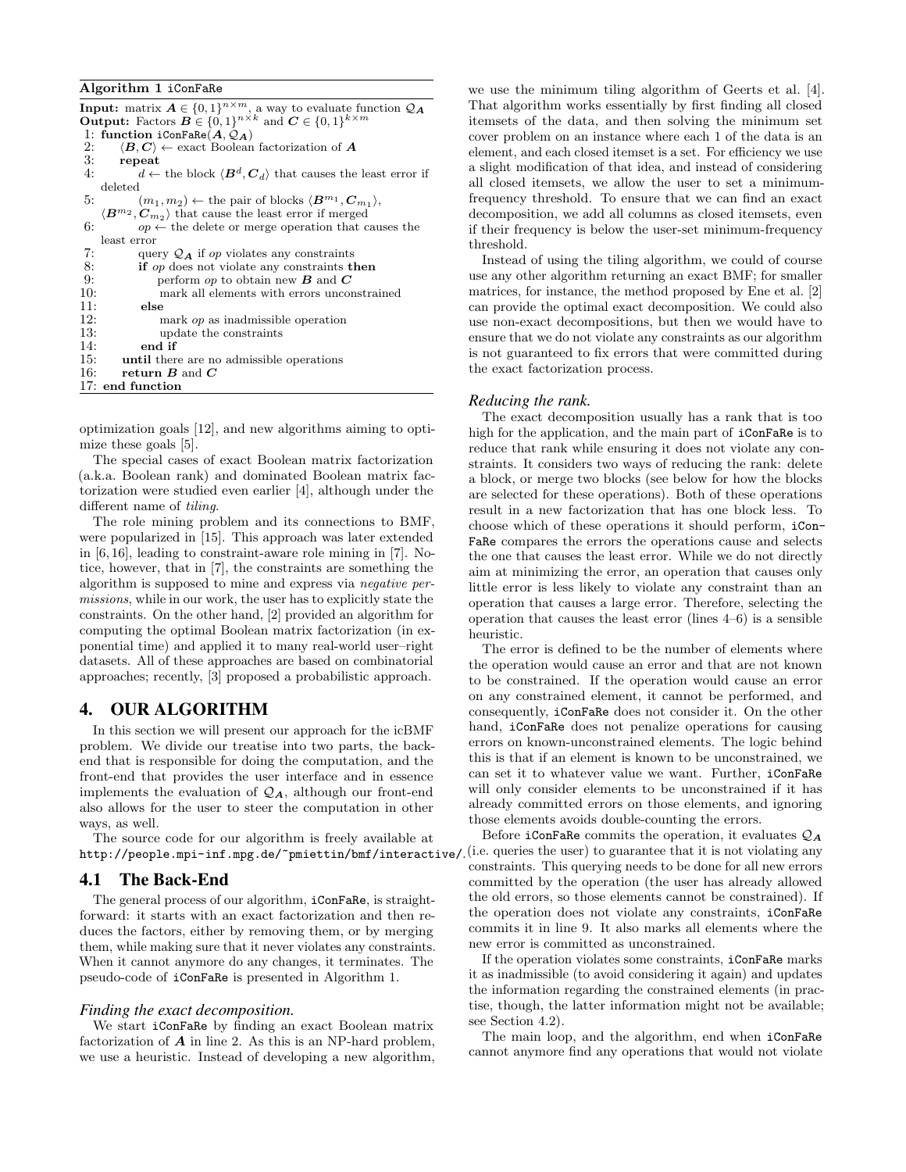#### Algorithm 1 iConFaRe

| <b>Input:</b> matrix $A \in \{0,1\}^{n \times m}$ , a way to evaluate function $\mathcal{Q}_A$                  |
|-----------------------------------------------------------------------------------------------------------------|
| <b>Output:</b> Factors $B \in \{0,1\}^{n \times k}$ and $C \in \{0,1\}^{k \times m}$                            |
| 1: function iConFaRe( $A, Q_A$ )                                                                                |
| 2: $\langle B, C \rangle \leftarrow$ exact Boolean factorization of A                                           |
| $3:$ repeat                                                                                                     |
| $d \leftarrow$ the block $\langle \mathbf{B}^d, \mathbf{C}_d \rangle$ that causes the least error if<br>4:      |
| deleted                                                                                                         |
| $(m_1, m_2) \leftarrow$ the pair of blocks $\langle \boldsymbol{B}^{m_1}, \boldsymbol{C}_{m_1} \rangle$ ,<br>5: |
| $\langle B^{m_2}, C_{m_2} \rangle$ that cause the least error if merged                                         |
| 6:<br>$op \leftarrow$ the delete or merge operation that causes the                                             |
| least error                                                                                                     |
| 7:<br>query $\mathcal{Q}_A$ if op violates any constraints                                                      |
| 8:<br><b>if</b> op does not violate any constraints then                                                        |
| 9:<br>perform op to obtain new $B$ and $C$                                                                      |
| 10:<br>mark all elements with errors unconstrained                                                              |
| 11:<br>else                                                                                                     |
| 12:<br>mark <i>op</i> as inadmissible operation                                                                 |
| 13:<br>update the constraints                                                                                   |
| 14:<br>end if                                                                                                   |
| 15: until there are no admissible operations                                                                    |
| 16: return $B$ and $C$                                                                                          |
| 17: end function                                                                                                |

optimization goals [12], and new algorithms aiming to optimize these goals [5].

The special cases of exact Boolean matrix factorization (a.k.a. Boolean rank) and dominated Boolean matrix factorization were studied even earlier [4], although under the different name of *tiling*.

The role mining problem and its connections to BMF, were popularized in [15]. This approach was later extended in [6, 16], leading to constraint-aware role mining in [7]. Notice, however, that in [7], the constraints are something the algorithm is supposed to mine and express via negative permissions, while in our work, the user has to explicitly state the constraints. On the other hand, [2] provided an algorithm for computing the optimal Boolean matrix factorization (in exponential time) and applied it to many real-world user–right datasets. All of these approaches are based on combinatorial approaches; recently, [3] proposed a probabilistic approach.

## 4. OUR ALGORITHM

In this section we will present our approach for the icBMF problem. We divide our treatise into two parts, the backend that is responsible for doing the computation, and the front-end that provides the user interface and in essence implements the evaluation of  $\mathcal{Q}_A$ , although our front-end also allows for the user to steer the computation in other ways, as well.

The source code for our algorithm is freely available at http://people.mpi-inf.mpg.de/~pmiettin/bmf/interactive/.

## 4.1 The Back-End

The general process of our algorithm, iConFaRe, is straightforward: it starts with an exact factorization and then reduces the factors, either by removing them, or by merging them, while making sure that it never violates any constraints. When it cannot anymore do any changes, it terminates. The pseudo-code of iConFaRe is presented in Algorithm 1.

#### *Finding the exact decomposition.*

We start iConFaRe by finding an exact Boolean matrix factorization of  $A$  in line 2. As this is an NP-hard problem, we use a heuristic. Instead of developing a new algorithm, we use the minimum tiling algorithm of Geerts et al. [4]. That algorithm works essentially by first finding all closed itemsets of the data, and then solving the minimum set cover problem on an instance where each 1 of the data is an element, and each closed itemset is a set. For efficiency we use a slight modification of that idea, and instead of considering all closed itemsets, we allow the user to set a minimumfrequency threshold. To ensure that we can find an exact decomposition, we add all columns as closed itemsets, even if their frequency is below the user-set minimum-frequency threshold.

Instead of using the tiling algorithm, we could of course use any other algorithm returning an exact BMF; for smaller matrices, for instance, the method proposed by Ene et al. [2] can provide the optimal exact decomposition. We could also use non-exact decompositions, but then we would have to ensure that we do not violate any constraints as our algorithm is not guaranteed to fix errors that were committed during the exact factorization process.

#### *Reducing the rank.*

The exact decomposition usually has a rank that is too high for the application, and the main part of iConFaRe is to reduce that rank while ensuring it does not violate any constraints. It considers two ways of reducing the rank: delete a block, or merge two blocks (see below for how the blocks are selected for these operations). Both of these operations result in a new factorization that has one block less. To choose which of these operations it should perform, iCon-FaRe compares the errors the operations cause and selects the one that causes the least error. While we do not directly aim at minimizing the error, an operation that causes only little error is less likely to violate any constraint than an operation that causes a large error. Therefore, selecting the operation that causes the least error (lines 4–6) is a sensible heuristic.

The error is defined to be the number of elements where the operation would cause an error and that are not known to be constrained. If the operation would cause an error on any constrained element, it cannot be performed, and consequently, iConFaRe does not consider it. On the other hand, iConFaRe does not penalize operations for causing errors on known-unconstrained elements. The logic behind this is that if an element is known to be unconstrained, we can set it to whatever value we want. Further, iConFaRe will only consider elements to be unconstrained if it has already committed errors on those elements, and ignoring those elements avoids double-counting the errors.

Before iConFaRe commits the operation, it evaluates  $\mathcal{Q}_A$ (i.e. queries the user) to guarantee that it is not violating any constraints. This querying needs to be done for all new errors committed by the operation (the user has already allowed the old errors, so those elements cannot be constrained). If the operation does not violate any constraints, iConFaRe commits it in line 9. It also marks all elements where the new error is committed as unconstrained.

If the operation violates some constraints, iConFaRe marks it as inadmissible (to avoid considering it again) and updates the information regarding the constrained elements (in practise, though, the latter information might not be available; see Section 4.2).

The main loop, and the algorithm, end when iConFaRe cannot anymore find any operations that would not violate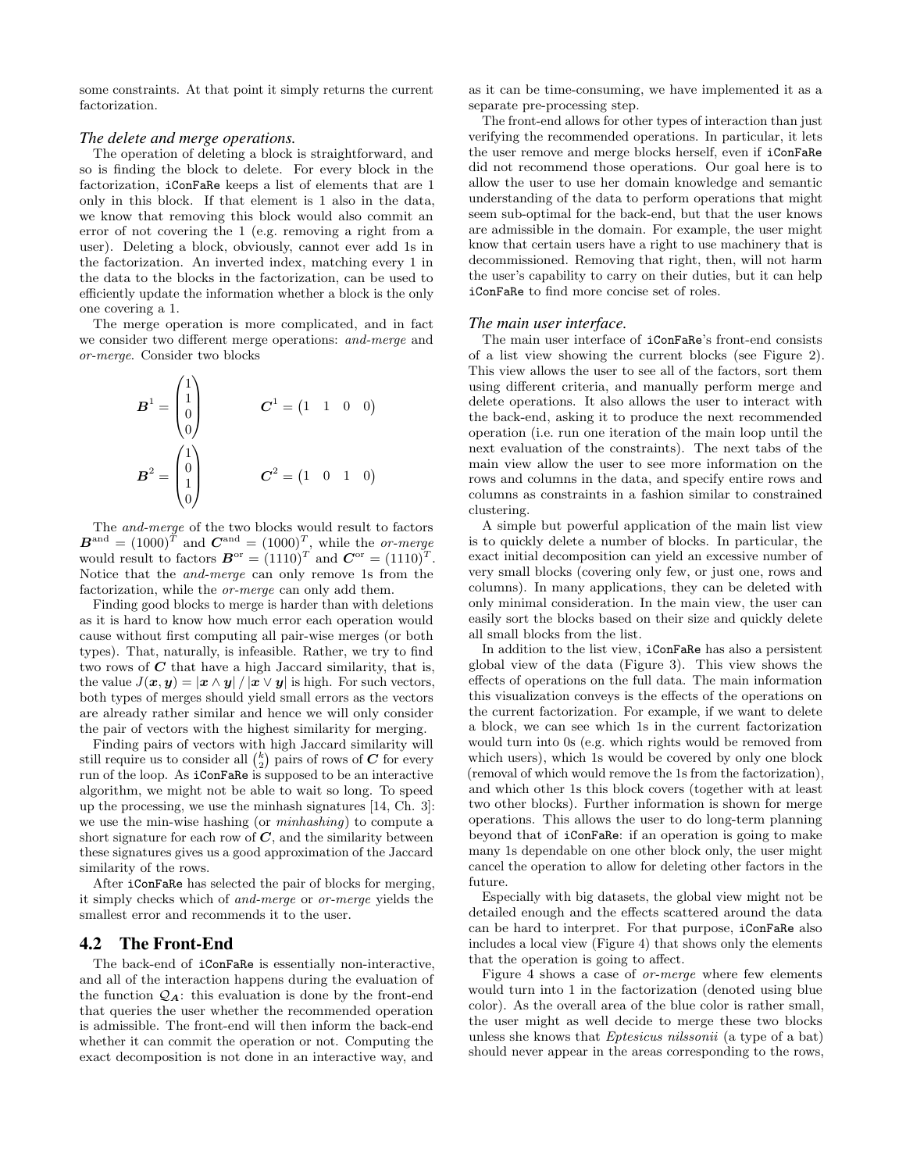some constraints. At that point it simply returns the current factorization.

#### *The delete and merge operations.*

The operation of deleting a block is straightforward, and so is finding the block to delete. For every block in the factorization, iConFaRe keeps a list of elements that are 1 only in this block. If that element is 1 also in the data, we know that removing this block would also commit an error of not covering the 1 (e.g. removing a right from a user). Deleting a block, obviously, cannot ever add 1s in the factorization. An inverted index, matching every 1 in the data to the blocks in the factorization, can be used to efficiently update the information whether a block is the only one covering a 1.

The merge operation is more complicated, and in fact we consider two different merge operations: and-merge and or-merge. Consider two blocks

$$
B^{1} = \begin{pmatrix} 1 \\ 1 \\ 0 \\ 0 \end{pmatrix} \qquad \qquad C^{1} = \begin{pmatrix} 1 & 1 & 0 & 0 \end{pmatrix}
$$

$$
B^{2} = \begin{pmatrix} 1 \\ 0 \\ 1 \\ 0 \end{pmatrix} \qquad \qquad C^{2} = \begin{pmatrix} 1 & 0 & 1 & 0 \end{pmatrix}
$$

The and-merge of the two blocks would result to factors  $\boldsymbol{B}^{\text{and}} = (1000)^{\bar{T}}$  and  $\boldsymbol{C}^{\text{and}} = (1000)^{\bar{T}}$ , while the *or-merge* would result to factors  $\boldsymbol{B}^{\text{or}} = (1110)^T$  and  $\boldsymbol{C}^{\text{or}} = (1110)^T$ . Notice that the and-merge can only remove 1s from the factorization, while the or-merge can only add them.

Finding good blocks to merge is harder than with deletions as it is hard to know how much error each operation would cause without first computing all pair-wise merges (or both types). That, naturally, is infeasible. Rather, we try to find two rows of  $C$  that have a high Jaccard similarity, that is, the value  $J(x, y) = |x \wedge y| / |x \vee y|$  is high. For such vectors, both types of merges should yield small errors as the vectors are already rather similar and hence we will only consider the pair of vectors with the highest similarity for merging.

Finding pairs of vectors with high Jaccard similarity will still require us to consider all  $\binom{k}{2}$  pairs of rows of  $C$  for every run of the loop. As iConFaRe is supposed to be an interactive algorithm, we might not be able to wait so long. To speed up the processing, we use the minhash signatures [14, Ch. 3]: we use the min-wise hashing (or minhashing) to compute a short signature for each row of  $C$ , and the similarity between these signatures gives us a good approximation of the Jaccard similarity of the rows.

After iConFaRe has selected the pair of blocks for merging, it simply checks which of and-merge or or-merge yields the smallest error and recommends it to the user.

## 4.2 The Front-End

The back-end of iConFaRe is essentially non-interactive, and all of the interaction happens during the evaluation of the function  $\mathcal{Q}_A$ : this evaluation is done by the front-end that queries the user whether the recommended operation is admissible. The front-end will then inform the back-end whether it can commit the operation or not. Computing the exact decomposition is not done in an interactive way, and as it can be time-consuming, we have implemented it as a separate pre-processing step.

The front-end allows for other types of interaction than just verifying the recommended operations. In particular, it lets the user remove and merge blocks herself, even if iConFaRe did not recommend those operations. Our goal here is to allow the user to use her domain knowledge and semantic understanding of the data to perform operations that might seem sub-optimal for the back-end, but that the user knows are admissible in the domain. For example, the user might know that certain users have a right to use machinery that is decommissioned. Removing that right, then, will not harm the user's capability to carry on their duties, but it can help iConFaRe to find more concise set of roles.

#### *The main user interface.*

The main user interface of iConFaRe's front-end consists of a list view showing the current blocks (see Figure 2). This view allows the user to see all of the factors, sort them using different criteria, and manually perform merge and delete operations. It also allows the user to interact with the back-end, asking it to produce the next recommended operation (i.e. run one iteration of the main loop until the next evaluation of the constraints). The next tabs of the main view allow the user to see more information on the rows and columns in the data, and specify entire rows and columns as constraints in a fashion similar to constrained clustering.

A simple but powerful application of the main list view is to quickly delete a number of blocks. In particular, the exact initial decomposition can yield an excessive number of very small blocks (covering only few, or just one, rows and columns). In many applications, they can be deleted with only minimal consideration. In the main view, the user can easily sort the blocks based on their size and quickly delete all small blocks from the list.

In addition to the list view, iConFaRe has also a persistent global view of the data (Figure 3). This view shows the effects of operations on the full data. The main information this visualization conveys is the effects of the operations on the current factorization. For example, if we want to delete a block, we can see which 1s in the current factorization would turn into 0s (e.g. which rights would be removed from which users), which 1s would be covered by only one block (removal of which would remove the 1s from the factorization), and which other 1s this block covers (together with at least two other blocks). Further information is shown for merge operations. This allows the user to do long-term planning beyond that of iConFaRe: if an operation is going to make many 1s dependable on one other block only, the user might cancel the operation to allow for deleting other factors in the future.

Especially with big datasets, the global view might not be detailed enough and the effects scattered around the data can be hard to interpret. For that purpose, iConFaRe also includes a local view (Figure 4) that shows only the elements that the operation is going to affect.

Figure 4 shows a case of or-merge where few elements would turn into 1 in the factorization (denoted using blue color). As the overall area of the blue color is rather small, the user might as well decide to merge these two blocks unless she knows that Eptesicus nilssonii (a type of a bat) should never appear in the areas corresponding to the rows,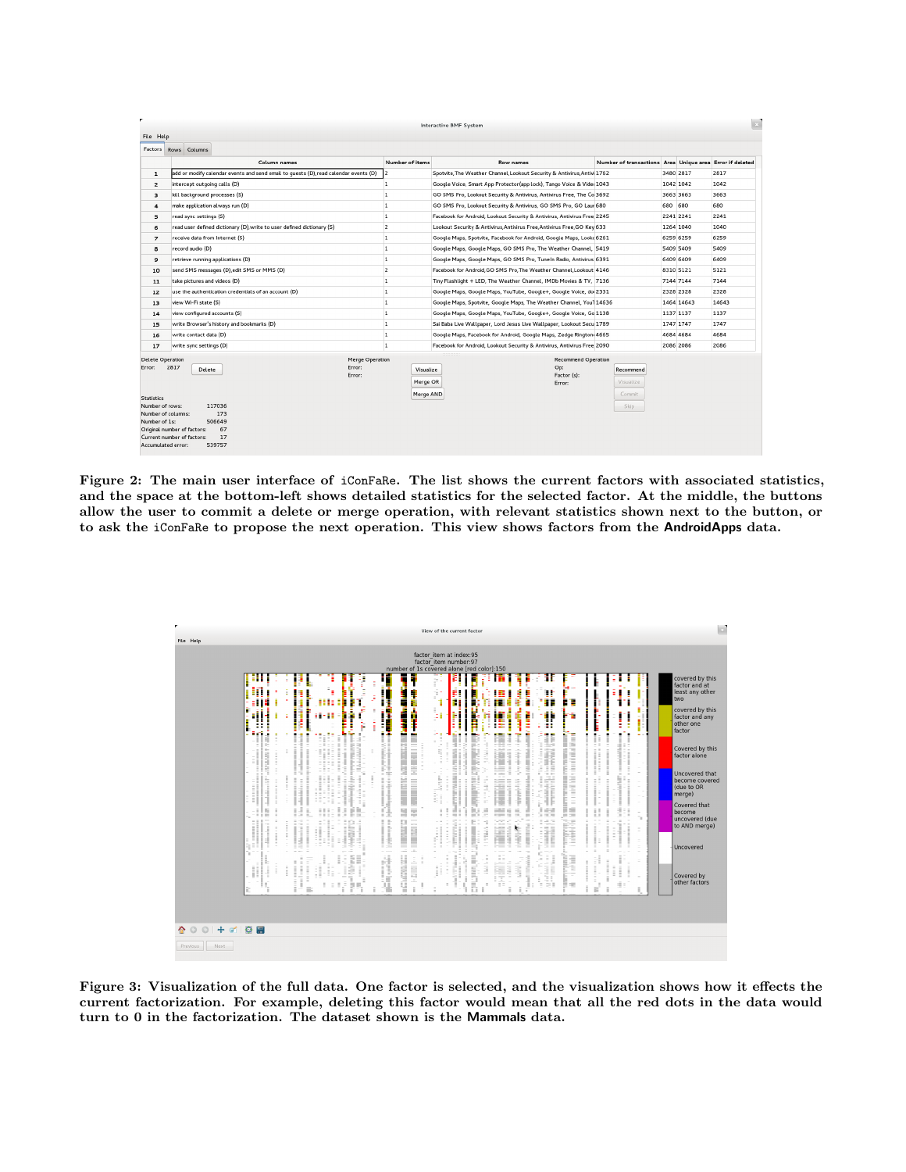|                                                                                                                                                                                                                                                                                                            | l si<br><b>Interactive BMF System</b>                                                |                                    |                                                                          |                                                          |           |            |       |
|------------------------------------------------------------------------------------------------------------------------------------------------------------------------------------------------------------------------------------------------------------------------------------------------------------|--------------------------------------------------------------------------------------|------------------------------------|--------------------------------------------------------------------------|----------------------------------------------------------|-----------|------------|-------|
| File Help                                                                                                                                                                                                                                                                                                  |                                                                                      |                                    |                                                                          |                                                          |           |            |       |
| Factors                                                                                                                                                                                                                                                                                                    | Rows Columns                                                                         |                                    |                                                                          |                                                          |           |            |       |
|                                                                                                                                                                                                                                                                                                            | Column names                                                                         | Number of items                    | Row names                                                                | Number of transactions Area Unique area Error if deleted |           |            |       |
| $\mathbf{1}$                                                                                                                                                                                                                                                                                               | add or modify calendar events and send email to quests (D), read calendar events (D) | 12                                 | Spotvite, The Weather Channel, Lookout Security & Antivirus, Antivi 1762 |                                                          | 3480 2817 |            | 2817  |
| $\overline{2}$                                                                                                                                                                                                                                                                                             | intercept outgoing calls (D)                                                         | $\overline{1}$                     | Google Voice, Smart App Protector(app lock), Tango Voice & Vide: 1043    |                                                          | 1042 1042 |            | 1042  |
| 3                                                                                                                                                                                                                                                                                                          | kill background processes (S)                                                        | $\overline{1}$                     | GO SMS Pro, Lookout Security & Antivirus, Antivirus Free, The Co 3692    |                                                          | 3663 3663 |            | 3663  |
| 4                                                                                                                                                                                                                                                                                                          | make application always run (D)                                                      | $\overline{1}$                     | GO SMS Pro, Lookout Security & Antivirus, GO SMS Pro, GO Laur 680        |                                                          | 680 680   |            | 680   |
| 5                                                                                                                                                                                                                                                                                                          | read sync settings (S)                                                               | $\overline{1}$                     | Facebook for Android, Lookout Security & Antivirus, Antivirus Free 2245  |                                                          | 2241 2241 |            | 2241  |
| 6                                                                                                                                                                                                                                                                                                          | read user defined dictionary (D), write to user defined dictionary (S)               | $\overline{2}$                     | Lookout Security & Antivirus, Antivirus Free, Antivirus Free, GO Key 633 |                                                          | 1264 1040 |            | 1040  |
| $\overline{7}$                                                                                                                                                                                                                                                                                             | receive data from Internet (S)                                                       | $\overline{1}$                     | Google Maps, Spotvite, Facebook for Android, Google Maps, Lookc 6261     |                                                          | 6259 6259 |            | 6259  |
| 8                                                                                                                                                                                                                                                                                                          | record audio (D)                                                                     | 1                                  | Google Maps, Google Maps, GO SMS Pro, The Weather Channel, 5419          |                                                          | 5409 5409 |            | 5409  |
| 9                                                                                                                                                                                                                                                                                                          | retrieve running applications (D)                                                    | 1                                  | Google Maps, Google Maps, GO SMS Pro, TuneIn Radio, Antivirus 6391       |                                                          | 6409 6409 |            | 6409  |
| 10                                                                                                                                                                                                                                                                                                         | send SMS messages (D) edit SMS or MMS (D)                                            | $\overline{2}$                     | Facebook for Android, GO SMS Pro, The Weather Channel, Lookout 4146      |                                                          | 8310 5121 |            | 5121  |
| 11                                                                                                                                                                                                                                                                                                         | take pictures and videos (D)                                                         | $\mathbf{1}$                       | Tiny Flashlight + LED. The Weather Channel, IMDb Movies & TV. 7136       |                                                          | 7144 7144 |            | 7144  |
| 12                                                                                                                                                                                                                                                                                                         | use the authentication credentials of an account (D)                                 | $\overline{1}$                     | Google Maps, Google Maps, YouTube, Google+, Google Voice, doi 2331       |                                                          | 2328 2328 |            | 2328  |
| 13                                                                                                                                                                                                                                                                                                         | view Wi-Fi state (S)                                                                 | $\overline{1}$                     | Google Maps, Spotvite, Google Maps, The Weather Channel, You'l 14636     |                                                          |           | 1464 14643 | 14643 |
| 14                                                                                                                                                                                                                                                                                                         | view configured accounts (S)                                                         | 1                                  | Google Maps, Google Maps, YouTube, Google+, Google Voice, Go 1138        |                                                          | 1137 1137 |            | 1137  |
| 15                                                                                                                                                                                                                                                                                                         | write Browser's history and bookmarks (D)                                            | $\mathbf{1}$                       | Sai Baba Live Wallpaper, Lord Jesus Live Wallpaper, Lookout Secu 1789    |                                                          | 1747 1747 |            | 1747  |
| 16                                                                                                                                                                                                                                                                                                         | write contact data (D)                                                               | 1                                  | Google Maps, Facebook for Android, Google Maps, Zedge Rington 4665       |                                                          | 4684 4684 |            | 4684  |
| 17                                                                                                                                                                                                                                                                                                         | write sync settings (D)                                                              | $\mathbf{1}$                       | Facebook for Android, Lookout Security & Antivirus, Antivirus Free 2090  |                                                          | 2086 2086 |            | 2086  |
| Merge Operation<br><b>Delete Operation</b><br>Error: 2817<br>Error:<br>Delete<br>Error:<br><b>Statistics</b><br>117036<br>Number of rows:<br>173<br>Number of columns:<br>Number of 1s:<br>506649<br>67<br>Original number of factors:<br>17<br>Current number of factors:<br>Accumulated error:<br>539757 |                                                                                      | Visualize<br>Merge OR<br>Merge AND | <b>Recommend Operation</b><br>Op:<br>Factor (s):<br>Error:               | Recommend<br>Visualize<br>Commit<br>Skip                 |           |            |       |

Figure 2: The main user interface of iConFaRe. The list shows the current factors with associated statistics, and the space at the bottom-left shows detailed statistics for the selected factor. At the middle, the buttons allow the user to commit a delete or merge operation, with relevant statistics shown next to the button, or to ask the iConFaRe to propose the next operation. This view shows factors from the AndroidApps data.

| factor item at index:95<br>factor item number:97<br>number of 1s covered alone [red color]:150                                                                                                                                                                                                                                                                                                                                                                                                                                                                                                                                                                                                                                                                                                                                                                                                                                                                                                                                                                                                                                                                                                                                                                                                                                                                                                                                                                                                                                                                                                                                                                                                                                                                                                                                                                                                                                                                                                                                                                                                                                                                                                                                                                                                                                                                                                                                                                                                                                                                                                                                                                                                                                                                                                                                                                                                                                                                                                                                                                                                                                                                                                                                                                                                                                                                                                   |                                                                                                                                                                                                                     |
|--------------------------------------------------------------------------------------------------------------------------------------------------------------------------------------------------------------------------------------------------------------------------------------------------------------------------------------------------------------------------------------------------------------------------------------------------------------------------------------------------------------------------------------------------------------------------------------------------------------------------------------------------------------------------------------------------------------------------------------------------------------------------------------------------------------------------------------------------------------------------------------------------------------------------------------------------------------------------------------------------------------------------------------------------------------------------------------------------------------------------------------------------------------------------------------------------------------------------------------------------------------------------------------------------------------------------------------------------------------------------------------------------------------------------------------------------------------------------------------------------------------------------------------------------------------------------------------------------------------------------------------------------------------------------------------------------------------------------------------------------------------------------------------------------------------------------------------------------------------------------------------------------------------------------------------------------------------------------------------------------------------------------------------------------------------------------------------------------------------------------------------------------------------------------------------------------------------------------------------------------------------------------------------------------------------------------------------------------------------------------------------------------------------------------------------------------------------------------------------------------------------------------------------------------------------------------------------------------------------------------------------------------------------------------------------------------------------------------------------------------------------------------------------------------------------------------------------------------------------------------------------------------------------------------------------------------------------------------------------------------------------------------------------------------------------------------------------------------------------------------------------------------------------------------------------------------------------------------------------------------------------------------------------------------------------------------------------------------------------------------------------------------|---------------------------------------------------------------------------------------------------------------------------------------------------------------------------------------------------------------------|
| Ξ<br>ij<br>Щ<br>Ŷ.<br>Ē<br>Ĭ<br>● 第一章 11<br>in 1994 and 1994.<br>Í<br>E<br>u<br>F.<br>ł<br>O<br>ł<br>Ĵ,<br>two<br>n<br>ŧ<br>÷<br>n<br>E<br>. <b>.</b><br>ш<br>È<br>F<br>ÿ<br>Ì<br>Ì<br>ä,<br>l<br>Ý<br><b>Contract</b><br>11-11<br>ĺ<br>ŧ<br>ż<br>h<br>i<br>ë<br>ł<br>Î<br>Ē<br>÷<br>ŝ,<br>other one<br>٠<br><br>factor<br>12<br><b>THE REAL PROPERTY OF A</b><br>$\sim$<br>эπ,<br>÷<br>$\equiv$<br>Þ<br>$\frac{1}{2}$ and $\frac{1}{2}$ are the state of the state of the state of $\frac{1}{2}$<br>٠<br>a.<br>×<br>٠<br>Ξ<br>×<br>U<br>t<br>Ξ<br>F.<br><b>THE ANNUAL MANAGEMENT CONTROL</b><br>Ŀ<br><b>THE R. P. LEWIS CO., LANSING MICH.</b><br>н<br>Ħ<br>Ė<br><b>COMMUNISTIC AND INTERNATIONAL PROPERTY</b><br><b>CONTRACTOR</b><br>$\sim 10^{11}$ .<br>Ξ÷<br>$\overline{a}$<br>Ē<br>li<br>S<br>ł<br>×<br>Î<br>E<br><b>HERRICHES</b><br>i<br>Ř<br>I<br>₫<br>Î<br>ă<br>Ī<br>factor alone<br>Ë<br>₹<br>F<br>Ħ<br>4<br>in 1950<br>The Story<br>B<br>1<br>≦<br>È<br>Ë<br>Ą<br>ź.<br>主<br>ł<br>æ<br>Î<br>R.<br>i<br>$\frac{1}{2}$<br>ē<br><b>CONTRACTOR</b><br>me lane.<br><b>ALCOHOL:</b><br>$\sim$<br>I<br><b>CONTRACTOR</b><br>L<br>i<br>Normali<br><b>Section</b><br>Ì<br>Ë<br><b><i><u>Statement</u></i></b><br>÷<br>related to the<br>Ë<br>iθ<br>Ī<br><b>Contract</b><br>Ē<br>(due to OR<br>÷<br>F.<br>ä<br>€,<br>F<br>merge)<br>Ē<br>$\sim$<br>l<br>÷<br>F<br>Í<br>ŧ<br>È<br>븰<br>ŧ<br>li<br>÷<br>丰<br>l el<br>È<br>ś<br>ŧ<br>t<br>Ĥ.<br>ŧ<br>Ë<br>become<br>$\sim$<br>$\gamma_{\rm L}$<br>$= -1 - 1$<br>Ì<br><b>The Second Contract of Second</b><br>$\sim$<br>1,000<br>÷.<br>ä.<br>$\sim$<br><b>COMMUNIST</b><br>l<br>E<br>Е<br><b>DIRECT</b><br><b>CONTRACTOR</b><br><b>Mariaha</b><br>İ<br>$-0.00$<br>İ<br><b>CONTRACTOR</b><br>i<br>$\frac{1}{2}$<br>Ξ<br>ł<br>ŧ<br>i.<br>į<br>₹<br>Ħ<br>÷<br>$\sim$<br>91 F<br>-<br>≘<br>$\equiv$<br>Uncovered<br>$-11$ 111<br>ź<br>$\overline{\phantom{a}}$<br>$\overline{a}$<br>۰<br>÷<br>'n<br>Ì<br>COMMERCE:<br>$\frac{1}{2}$<br>$\label{eq:recon} \frac{1}{2} \frac{\left( \frac{1}{2} \left( \frac{1}{2} \right) + \frac{1}{2} \left( \frac{1}{2} \right) + \frac{1}{2} \left( \frac{1}{2} \right) + \frac{1}{2} \left( \frac{1}{2} \right) + \frac{1}{2} \left( \frac{1}{2} \right) + \frac{1}{2} \left( \frac{1}{2} \right) + \frac{1}{2} \left( \frac{1}{2} \right) + \frac{1}{2} \left( \frac{1}{2} \right) + \frac{1}{2} \left( \frac{1}{2} \right) + \frac{1}{2} \left( \$<br><b>EXAMPLE</b><br><b>Contractor</b><br>ST.<br>The Mar<br>$\frac{1}{2}$<br>$\begin{array}{c} \frac{1}{2} \left( \frac{1}{2} \right) \left( \frac{1}{2} \right) \left( \frac{1}{2} \right) \left( \frac{1}{2} \right) \left( \frac{1}{2} \right) \left( \frac{1}{2} \right) \left( \frac{1}{2} \right) \left( \frac{1}{2} \right) \left( \frac{1}{2} \right) \left( \frac{1}{2} \right) \left( \frac{1}{2} \right) \left( \frac{1}{2} \right) \left( \frac{1}{2} \right) \left( \frac{1}{2} \right) \left( \frac{1}{2} \right) \left( \frac{1}{2} \$<br>÷<br>$\equiv$<br><b>S</b><br>--------<br>-TITALIA<br><b>The Second Service</b><br>ľ<br>$\equiv$<br>$\equiv$<br>$\equiv$<br>iĝê<br>İ<br>ł,<br>$\frac{1}{2}$<br>İ<br>İ<br>-------<br>Ħ<br>$\frac{1}{2}$<br>Î<br>H<br>Î<br>Î<br>Ħ<br>$\equiv$<br>Covered by<br>Ξ<br>V<br>$\equiv$<br>ť,<br>ř.<br>鹑<br>d:<br>$\equiv$<br>三本<br>×<br>Ξ<br>$\equiv$<br>H<br>lΕ<br>$\equiv$<br>f,<br>ī<br>ĩ<br>ă<br>î.<br>R | covered by this<br>factor and at<br>least any other<br>covered by this<br>factor and any<br>Covered by this<br>Uncovered that<br>become covered<br>Covered that<br>uncovered (due<br>to AND merge)<br>other factors |

Figure 3: Visualization of the full data. One factor is selected, and the visualization shows how it effects the current factorization. For example, deleting this factor would mean that all the red dots in the data would turn to 0 in the factorization. The dataset shown is the Mammals data.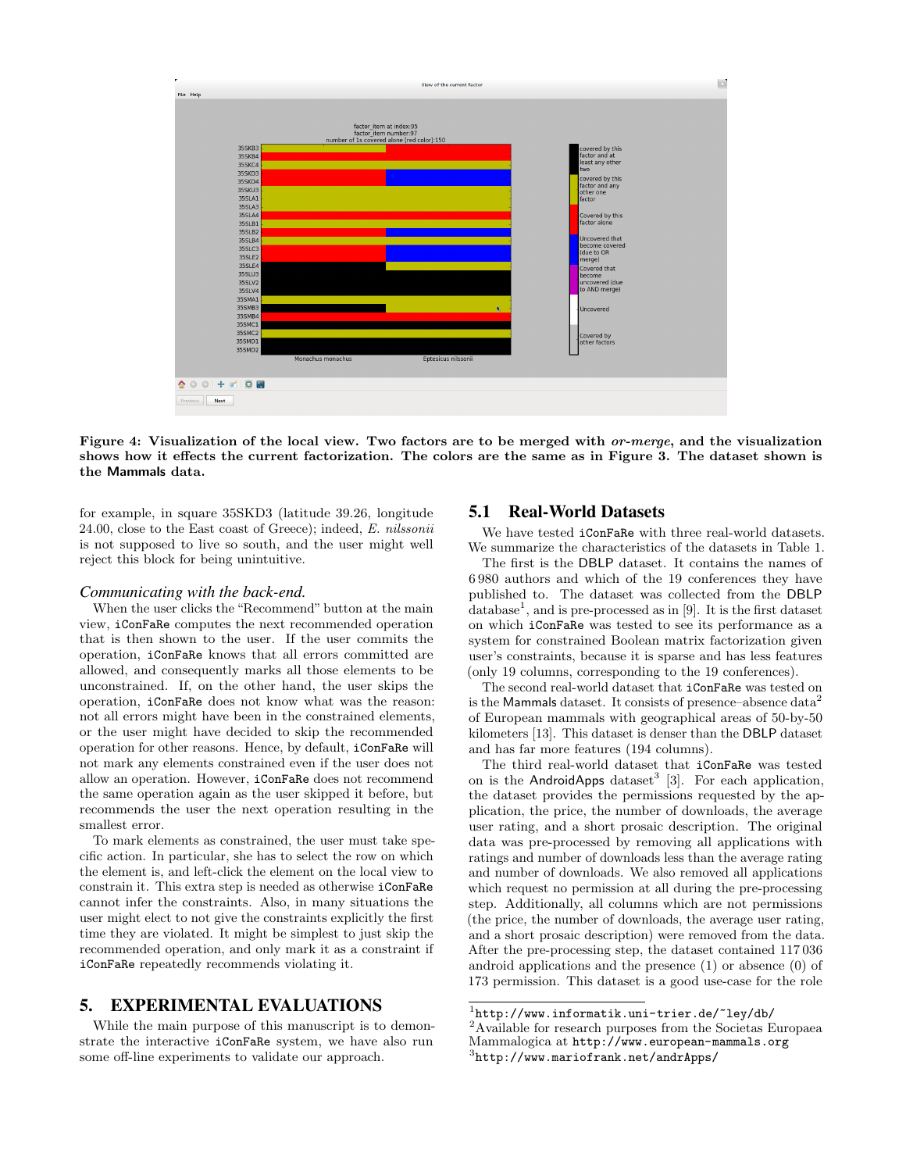

Figure 4: Visualization of the local view. Two factors are to be merged with *or-merge*, and the visualization shows how it effects the current factorization. The colors are the same as in Figure 3. The dataset shown is the Mammals data.

for example, in square 35SKD3 (latitude 39.26, longitude 24.00, close to the East coast of Greece); indeed, E. nilssonii is not supposed to live so south, and the user might well reject this block for being unintuitive.

#### *Communicating with the back-end.*

When the user clicks the "Recommend" button at the main view, iConFaRe computes the next recommended operation that is then shown to the user. If the user commits the operation, iConFaRe knows that all errors committed are allowed, and consequently marks all those elements to be unconstrained. If, on the other hand, the user skips the operation, iConFaRe does not know what was the reason: not all errors might have been in the constrained elements, or the user might have decided to skip the recommended operation for other reasons. Hence, by default, iConFaRe will not mark any elements constrained even if the user does not allow an operation. However, iConFaRe does not recommend the same operation again as the user skipped it before, but recommends the user the next operation resulting in the smallest error.

To mark elements as constrained, the user must take specific action. In particular, she has to select the row on which the element is, and left-click the element on the local view to constrain it. This extra step is needed as otherwise iConFaRe cannot infer the constraints. Also, in many situations the user might elect to not give the constraints explicitly the first time they are violated. It might be simplest to just skip the recommended operation, and only mark it as a constraint if iConFaRe repeatedly recommends violating it.

## 5. EXPERIMENTAL EVALUATIONS

While the main purpose of this manuscript is to demonstrate the interactive iConFaRe system, we have also run some off-line experiments to validate our approach.

# 5.1 Real-World Datasets

We have tested **iConFaRe** with three real-world datasets. We summarize the characteristics of the datasets in Table 1.

The first is the DBLP dataset. It contains the names of 6 980 authors and which of the 19 conferences they have published to. The dataset was collected from the DBLP database<sup>1</sup>, and is pre-processed as in [9]. It is the first dataset on which iConFaRe was tested to see its performance as a system for constrained Boolean matrix factorization given user's constraints, because it is sparse and has less features (only 19 columns, corresponding to the 19 conferences).

The second real-world dataset that iConFaRe was tested on is the Mammals dataset. It consists of presence–absence  $data<sup>2</sup>$ of European mammals with geographical areas of 50-by-50 kilometers [13]. This dataset is denser than the DBLP dataset and has far more features (194 columns).

The third real-world dataset that iConFaRe was tested on is the AndroidApps dataset<sup>3</sup> [3]. For each application, the dataset provides the permissions requested by the application, the price, the number of downloads, the average user rating, and a short prosaic description. The original data was pre-processed by removing all applications with ratings and number of downloads less than the average rating and number of downloads. We also removed all applications which request no permission at all during the pre-processing step. Additionally, all columns which are not permissions (the price, the number of downloads, the average user rating, and a short prosaic description) were removed from the data. After the pre-processing step, the dataset contained 117 036 android applications and the presence (1) or absence (0) of 173 permission. This dataset is a good use-case for the role

 $1$ http://www.informatik.uni-trier.de/~ley/db/ <sup>2</sup>Available for research purposes from the Societas Europaea Mammalogica at http://www.european-mammals.org

<sup>3</sup> http://www.mariofrank.net/andrApps/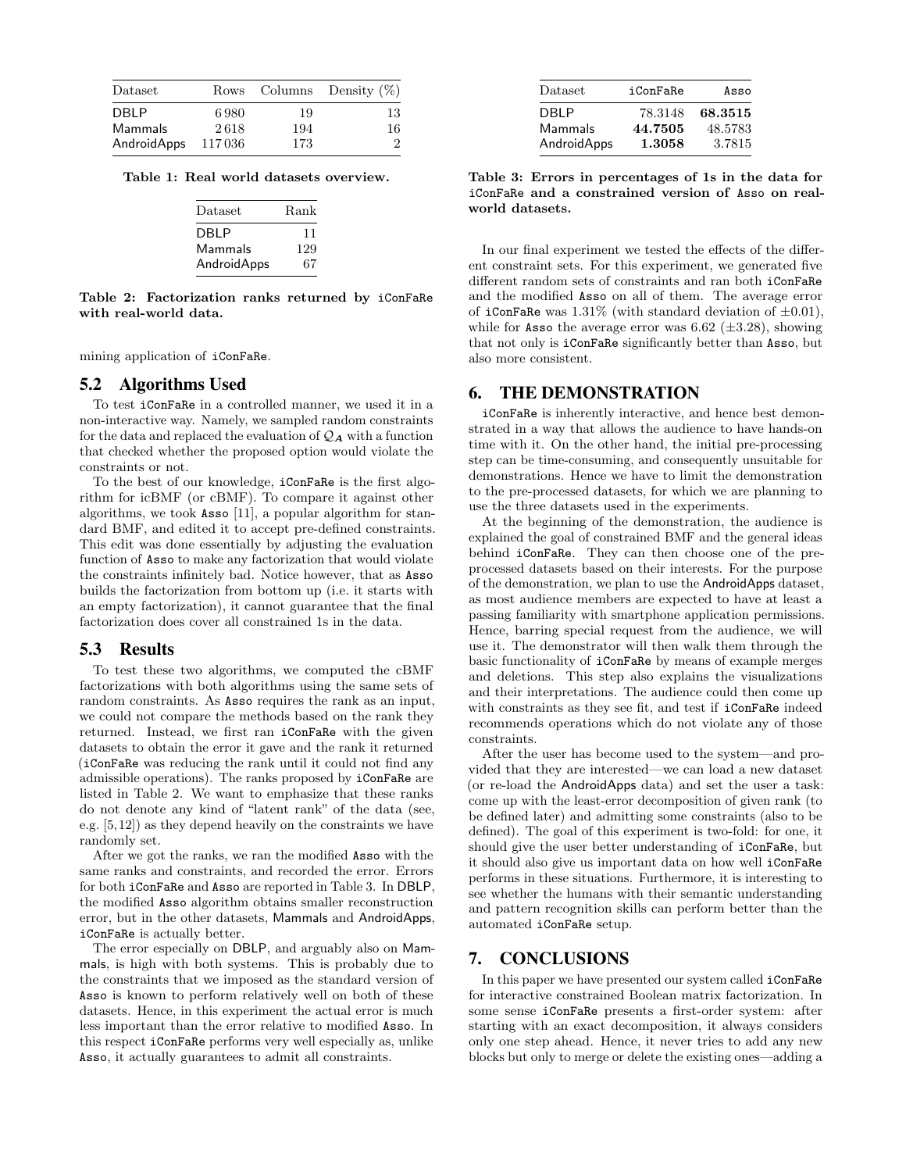| Dataset     |        |     | Rows Columns Density $(\%)$ |
|-------------|--------|-----|-----------------------------|
| <b>DBLP</b> | 6.980  | 19  | 13                          |
| Mammals     | 2618   | 194 | 16                          |
| AndroidApps | 117036 | 173 | $\mathcal{D}$               |

Table 1: Real world datasets overview.

| Dataset     | Rank |
|-------------|------|
| DBI P       | 11   |
| Mammals     | 129  |
| AndroidApps | 67   |

Table 2: Factorization ranks returned by iConFaRe with real-world data.

mining application of iConFaRe.

#### 5.2 Algorithms Used

To test iConFaRe in a controlled manner, we used it in a non-interactive way. Namely, we sampled random constraints for the data and replaced the evaluation of  $\mathcal{Q}_A$  with a function that checked whether the proposed option would violate the constraints or not.

To the best of our knowledge, iConFaRe is the first algorithm for icBMF (or cBMF). To compare it against other algorithms, we took Asso [11], a popular algorithm for standard BMF, and edited it to accept pre-defined constraints. This edit was done essentially by adjusting the evaluation function of Asso to make any factorization that would violate the constraints infinitely bad. Notice however, that as Asso builds the factorization from bottom up (i.e. it starts with an empty factorization), it cannot guarantee that the final factorization does cover all constrained 1s in the data.

### 5.3 Results

To test these two algorithms, we computed the cBMF factorizations with both algorithms using the same sets of random constraints. As Asso requires the rank as an input, we could not compare the methods based on the rank they returned. Instead, we first ran iConFaRe with the given datasets to obtain the error it gave and the rank it returned (iConFaRe was reducing the rank until it could not find any admissible operations). The ranks proposed by iConFaRe are listed in Table 2. We want to emphasize that these ranks do not denote any kind of "latent rank" of the data (see, e.g. [5,12]) as they depend heavily on the constraints we have randomly set.

After we got the ranks, we ran the modified Asso with the same ranks and constraints, and recorded the error. Errors for both iConFaRe and Asso are reported in Table 3. In DBLP, the modified Asso algorithm obtains smaller reconstruction error, but in the other datasets, Mammals and AndroidApps, iConFaRe is actually better.

The error especially on DBLP, and arguably also on Mammals, is high with both systems. This is probably due to the constraints that we imposed as the standard version of Asso is known to perform relatively well on both of these datasets. Hence, in this experiment the actual error is much less important than the error relative to modified Asso. In this respect iConFaRe performs very well especially as, unlike Asso, it actually guarantees to admit all constraints.

| Dataset     | iConFaRe | Asso    |
|-------------|----------|---------|
| DBLP        | 78.3148  | 68.3515 |
| Mammals     | 44.7505  | 48.5783 |
| AndroidApps | 1.3058   | 3.7815  |

Table 3: Errors in percentages of 1s in the data for iConFaRe and a constrained version of Asso on realworld datasets.

In our final experiment we tested the effects of the different constraint sets. For this experiment, we generated five different random sets of constraints and ran both iConFaRe and the modified Asso on all of them. The average error of iConFaRe was  $1.31\%$  (with standard deviation of  $\pm 0.01$ ), while for **Asso** the average error was 6.62 ( $\pm$ 3.28), showing that not only is iConFaRe significantly better than Asso, but also more consistent.

## 6. THE DEMONSTRATION

iConFaRe is inherently interactive, and hence best demonstrated in a way that allows the audience to have hands-on time with it. On the other hand, the initial pre-processing step can be time-consuming, and consequently unsuitable for demonstrations. Hence we have to limit the demonstration to the pre-processed datasets, for which we are planning to use the three datasets used in the experiments.

At the beginning of the demonstration, the audience is explained the goal of constrained BMF and the general ideas behind iConFaRe. They can then choose one of the preprocessed datasets based on their interests. For the purpose of the demonstration, we plan to use the AndroidApps dataset, as most audience members are expected to have at least a passing familiarity with smartphone application permissions. Hence, barring special request from the audience, we will use it. The demonstrator will then walk them through the basic functionality of iConFaRe by means of example merges and deletions. This step also explains the visualizations and their interpretations. The audience could then come up with constraints as they see fit, and test if iConFaRe indeed recommends operations which do not violate any of those constraints.

After the user has become used to the system—and provided that they are interested—we can load a new dataset (or re-load the AndroidApps data) and set the user a task: come up with the least-error decomposition of given rank (to be defined later) and admitting some constraints (also to be defined). The goal of this experiment is two-fold: for one, it should give the user better understanding of iConFaRe, but it should also give us important data on how well iConFaRe performs in these situations. Furthermore, it is interesting to see whether the humans with their semantic understanding and pattern recognition skills can perform better than the automated iConFaRe setup.

## 7. CONCLUSIONS

In this paper we have presented our system called iConFaRe for interactive constrained Boolean matrix factorization. In some sense iConFaRe presents a first-order system: after starting with an exact decomposition, it always considers only one step ahead. Hence, it never tries to add any new blocks but only to merge or delete the existing ones—adding a